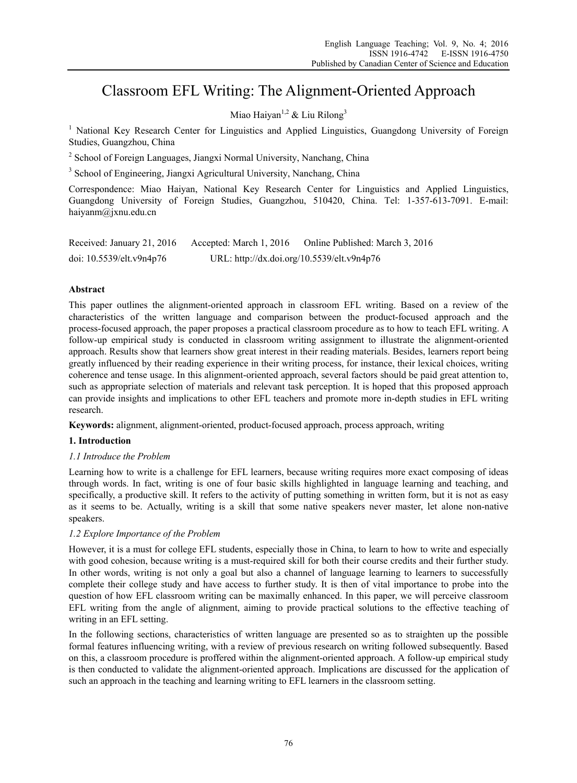# Classroom EFL Writing: The Alignment-Oriented Approach

Miao Haiyan<sup>1,2</sup> & Liu Rilong<sup>3</sup>

<sup>1</sup> National Key Research Center for Linguistics and Applied Linguistics, Guangdong University of Foreign Studies, Guangzhou, China

<sup>2</sup> School of Foreign Languages, Jiangxi Normal University, Nanchang, China

<sup>3</sup> School of Engineering, Jiangxi Agricultural University, Nanchang, China

Correspondence: Miao Haiyan, National Key Research Center for Linguistics and Applied Linguistics, Guangdong University of Foreign Studies, Guangzhou, 510420, China. Tel: 1-357-613-7091. E-mail: haiyanm@jxnu.edu.cn

| Received: January 21, 2016 | Accepted: March 1, 2016                    | Online Published: March 3, 2016 |
|----------------------------|--------------------------------------------|---------------------------------|
| doi: 10.5539/elt.v9n4p76   | URL: http://dx.doi.org/10.5539/elt.v9n4p76 |                                 |

## **Abstract**

This paper outlines the alignment-oriented approach in classroom EFL writing. Based on a review of the characteristics of the written language and comparison between the product-focused approach and the process-focused approach, the paper proposes a practical classroom procedure as to how to teach EFL writing. A follow-up empirical study is conducted in classroom writing assignment to illustrate the alignment-oriented approach. Results show that learners show great interest in their reading materials. Besides, learners report being greatly influenced by their reading experience in their writing process, for instance, their lexical choices, writing coherence and tense usage. In this alignment-oriented approach, several factors should be paid great attention to, such as appropriate selection of materials and relevant task perception. It is hoped that this proposed approach can provide insights and implications to other EFL teachers and promote more in-depth studies in EFL writing research.

**Keywords:** alignment, alignment-oriented, product-focused approach, process approach, writing

## **1. Introduction**

#### *1.1 Introduce the Problem*

Learning how to write is a challenge for EFL learners, because writing requires more exact composing of ideas through words. In fact, writing is one of four basic skills highlighted in language learning and teaching, and specifically, a productive skill. It refers to the activity of putting something in written form, but it is not as easy as it seems to be. Actually, writing is a skill that some native speakers never master, let alone non-native speakers.

## *1.2 Explore Importance of the Problem*

However, it is a must for college EFL students, especially those in China, to learn to how to write and especially with good cohesion, because writing is a must-required skill for both their course credits and their further study. In other words, writing is not only a goal but also a channel of language learning to learners to successfully complete their college study and have access to further study. It is then of vital importance to probe into the question of how EFL classroom writing can be maximally enhanced. In this paper, we will perceive classroom EFL writing from the angle of alignment, aiming to provide practical solutions to the effective teaching of writing in an EFL setting.

In the following sections, characteristics of written language are presented so as to straighten up the possible formal features influencing writing, with a review of previous research on writing followed subsequently. Based on this, a classroom procedure is proffered within the alignment-oriented approach. A follow-up empirical study is then conducted to validate the alignment-oriented approach. Implications are discussed for the application of such an approach in the teaching and learning writing to EFL learners in the classroom setting.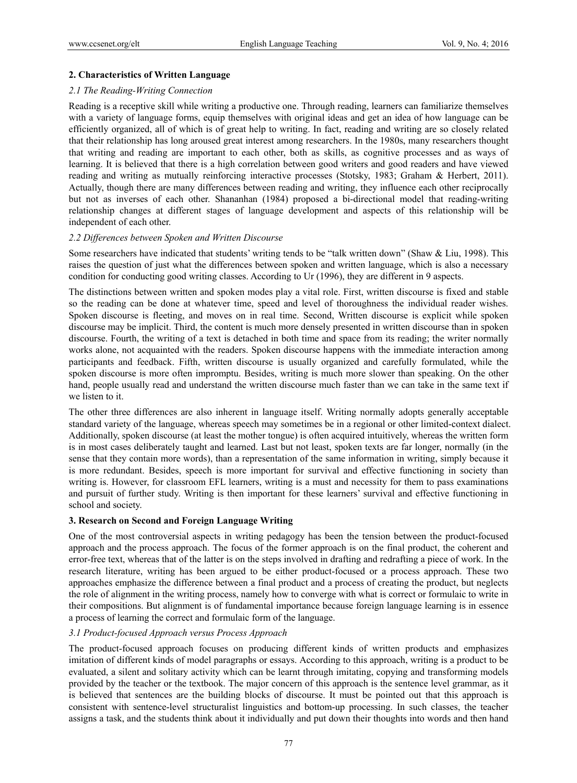### **2. Characteristics of Written Language**

#### *2.1 The Reading-Writing Connection*

Reading is a receptive skill while writing a productive one. Through reading, learners can familiarize themselves with a variety of language forms, equip themselves with original ideas and get an idea of how language can be efficiently organized, all of which is of great help to writing. In fact, reading and writing are so closely related that their relationship has long aroused great interest among researchers. In the 1980s, many researchers thought that writing and reading are important to each other, both as skills, as cognitive processes and as ways of learning. It is believed that there is a high correlation between good writers and good readers and have viewed reading and writing as mutually reinforcing interactive processes (Stotsky, 1983; Graham & Herbert, 2011). Actually, though there are many differences between reading and writing, they influence each other reciprocally but not as inverses of each other. Shananhan (1984) proposed a bi-directional model that reading-writing relationship changes at different stages of language development and aspects of this relationship will be independent of each other.

## *2.2 Differences between Spoken and Written Discourse*

Some researchers have indicated that students' writing tends to be "talk written down" (Shaw & Liu, 1998). This raises the question of just what the differences between spoken and written language, which is also a necessary condition for conducting good writing classes. According to Ur (1996), they are different in 9 aspects.

The distinctions between written and spoken modes play a vital role. First, written discourse is fixed and stable so the reading can be done at whatever time, speed and level of thoroughness the individual reader wishes. Spoken discourse is fleeting, and moves on in real time. Second, Written discourse is explicit while spoken discourse may be implicit. Third, the content is much more densely presented in written discourse than in spoken discourse. Fourth, the writing of a text is detached in both time and space from its reading; the writer normally works alone, not acquainted with the readers. Spoken discourse happens with the immediate interaction among participants and feedback. Fifth, written discourse is usually organized and carefully formulated, while the spoken discourse is more often impromptu. Besides, writing is much more slower than speaking. On the other hand, people usually read and understand the written discourse much faster than we can take in the same text if we listen to it.

The other three differences are also inherent in language itself. Writing normally adopts generally acceptable standard variety of the language, whereas speech may sometimes be in a regional or other limited-context dialect. Additionally, spoken discourse (at least the mother tongue) is often acquired intuitively, whereas the written form is in most cases deliberately taught and learned. Last but not least, spoken texts are far longer, normally (in the sense that they contain more words), than a representation of the same information in writing, simply because it is more redundant. Besides, speech is more important for survival and effective functioning in society than writing is. However, for classroom EFL learners, writing is a must and necessity for them to pass examinations and pursuit of further study. Writing is then important for these learners' survival and effective functioning in school and society.

#### **3. Research on Second and Foreign Language Writing**

One of the most controversial aspects in writing pedagogy has been the tension between the product-focused approach and the process approach. The focus of the former approach is on the final product, the coherent and error-free text, whereas that of the latter is on the steps involved in drafting and redrafting a piece of work. In the research literature, writing has been argued to be either product-focused or a process approach. These two approaches emphasize the difference between a final product and a process of creating the product, but neglects the role of alignment in the writing process, namely how to converge with what is correct or formulaic to write in their compositions. But alignment is of fundamental importance because foreign language learning is in essence a process of learning the correct and formulaic form of the language.

## *3.1 Product-focused Approach versus Process Approach*

The product-focused approach focuses on producing different kinds of written products and emphasizes imitation of different kinds of model paragraphs or essays. According to this approach, writing is a product to be evaluated, a silent and solitary activity which can be learnt through imitating, copying and transforming models provided by the teacher or the textbook. The major concern of this approach is the sentence level grammar, as it is believed that sentences are the building blocks of discourse. It must be pointed out that this approach is consistent with sentence-level structuralist linguistics and bottom-up processing. In such classes, the teacher assigns a task, and the students think about it individually and put down their thoughts into words and then hand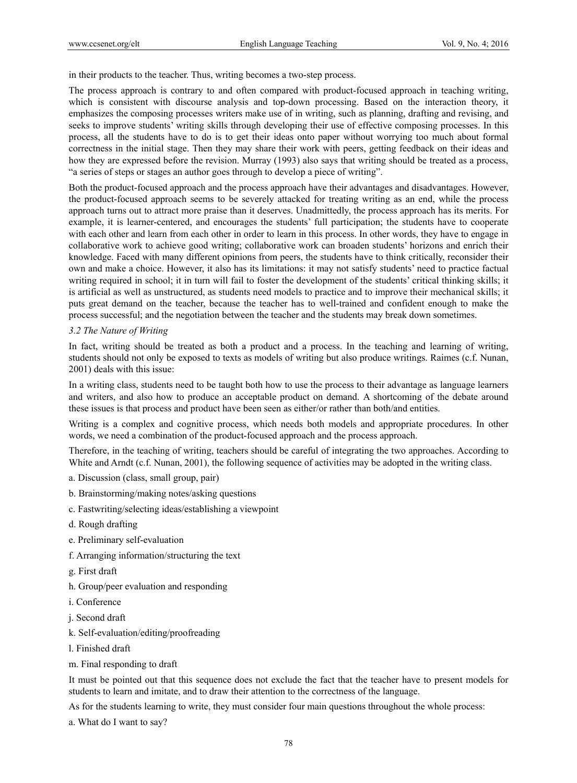in their products to the teacher. Thus, writing becomes a two-step process.

The process approach is contrary to and often compared with product-focused approach in teaching writing, which is consistent with discourse analysis and top-down processing. Based on the interaction theory, it emphasizes the composing processes writers make use of in writing, such as planning, drafting and revising, and seeks to improve students' writing skills through developing their use of effective composing processes. In this process, all the students have to do is to get their ideas onto paper without worrying too much about formal correctness in the initial stage. Then they may share their work with peers, getting feedback on their ideas and how they are expressed before the revision. Murray (1993) also says that writing should be treated as a process, "a series of steps or stages an author goes through to develop a piece of writing".

Both the product-focused approach and the process approach have their advantages and disadvantages. However, the product-focused approach seems to be severely attacked for treating writing as an end, while the process approach turns out to attract more praise than it deserves. Unadmittedly, the process approach has its merits. For example, it is learner-centered, and encourages the students' full participation; the students have to cooperate with each other and learn from each other in order to learn in this process. In other words, they have to engage in collaborative work to achieve good writing; collaborative work can broaden students' horizons and enrich their knowledge. Faced with many different opinions from peers, the students have to think critically, reconsider their own and make a choice. However, it also has its limitations: it may not satisfy students' need to practice factual writing required in school; it in turn will fail to foster the development of the students' critical thinking skills; it is artificial as well as unstructured, as students need models to practice and to improve their mechanical skills; it puts great demand on the teacher, because the teacher has to well-trained and confident enough to make the process successful; and the negotiation between the teacher and the students may break down sometimes.

#### *3.2 The Nature of Writing*

In fact, writing should be treated as both a product and a process. In the teaching and learning of writing, students should not only be exposed to texts as models of writing but also produce writings. Raimes (c.f. Nunan, 2001) deals with this issue:

In a writing class, students need to be taught both how to use the process to their advantage as language learners and writers, and also how to produce an acceptable product on demand. A shortcoming of the debate around these issues is that process and product have been seen as either/or rather than both/and entities.

Writing is a complex and cognitive process, which needs both models and appropriate procedures. In other words, we need a combination of the product-focused approach and the process approach.

Therefore, in the teaching of writing, teachers should be careful of integrating the two approaches. According to White and Arndt (c.f. Nunan, 2001), the following sequence of activities may be adopted in the writing class.

- a. Discussion (class, small group, pair)
- b. Brainstorming/making notes/asking questions
- c. Fastwriting/selecting ideas/establishing a viewpoint
- d. Rough drafting
- e. Preliminary self-evaluation
- f. Arranging information/structuring the text
- g. First draft
- h. Group/peer evaluation and responding
- i. Conference
- j. Second draft
- k. Self-evaluation/editing/proofreading
- l. Finished draft
- m. Final responding to draft

It must be pointed out that this sequence does not exclude the fact that the teacher have to present models for students to learn and imitate, and to draw their attention to the correctness of the language.

As for the students learning to write, they must consider four main questions throughout the whole process:

a. What do I want to say?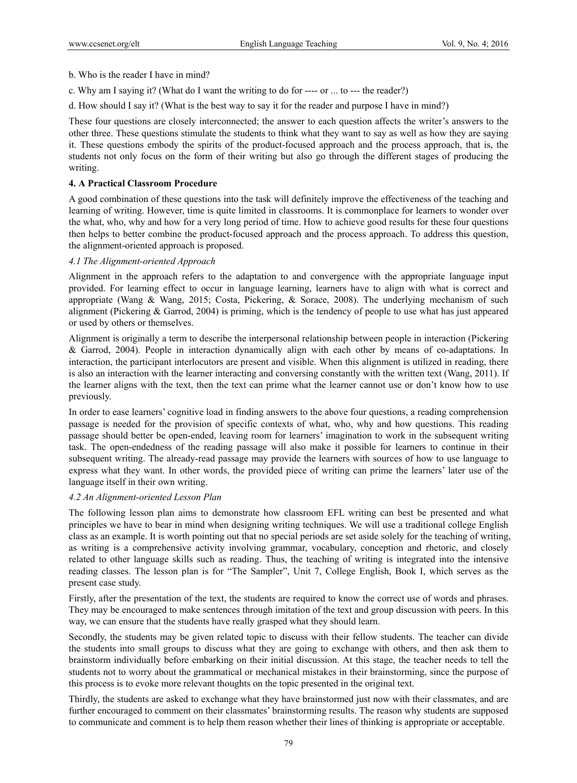b. Who is the reader I have in mind?

- c. Why am I saying it? (What do I want the writing to do for ---- or ... to --- the reader?)
- d. How should I say it? (What is the best way to say it for the reader and purpose I have in mind?)

These four questions are closely interconnected; the answer to each question affects the writer's answers to the other three. These questions stimulate the students to think what they want to say as well as how they are saying it. These questions embody the spirits of the product-focused approach and the process approach, that is, the students not only focus on the form of their writing but also go through the different stages of producing the writing.

### **4. A Practical Classroom Procedure**

A good combination of these questions into the task will definitely improve the effectiveness of the teaching and learning of writing. However, time is quite limited in classrooms. It is commonplace for learners to wonder over the what, who, why and how for a very long period of time. How to achieve good results for these four questions then helps to better combine the product-focused approach and the process approach. To address this question, the alignment-oriented approach is proposed.

### *4.1 The Alignment-oriented Approach*

Alignment in the approach refers to the adaptation to and convergence with the appropriate language input provided. For learning effect to occur in language learning, learners have to align with what is correct and appropriate (Wang & Wang, 2015; Costa, Pickering, & Sorace, 2008). The underlying mechanism of such alignment (Pickering & Garrod, 2004) is priming, which is the tendency of people to use what has just appeared or used by others or themselves.

Alignment is originally a term to describe the interpersonal relationship between people in interaction (Pickering & Garrod, 2004). People in interaction dynamically align with each other by means of co-adaptations. In interaction, the participant interlocutors are present and visible. When this alignment is utilized in reading, there is also an interaction with the learner interacting and conversing constantly with the written text (Wang, 2011). If the learner aligns with the text, then the text can prime what the learner cannot use or don't know how to use previously.

In order to ease learners' cognitive load in finding answers to the above four questions, a reading comprehension passage is needed for the provision of specific contexts of what, who, why and how questions. This reading passage should better be open-ended, leaving room for learners' imagination to work in the subsequent writing task. The open-endedness of the reading passage will also make it possible for learners to continue in their subsequent writing. The already-read passage may provide the learners with sources of how to use language to express what they want. In other words, the provided piece of writing can prime the learners' later use of the language itself in their own writing.

#### *4.2 An Alignment-oriented Lesson Plan*

The following lesson plan aims to demonstrate how classroom EFL writing can best be presented and what principles we have to bear in mind when designing writing techniques. We will use a traditional college English class as an example. It is worth pointing out that no special periods are set aside solely for the teaching of writing, as writing is a comprehensive activity involving grammar, vocabulary, conception and rhetoric, and closely related to other language skills such as reading. Thus, the teaching of writing is integrated into the intensive reading classes. The lesson plan is for "The Sampler", Unit 7, College English, Book I, which serves as the present case study.

Firstly, after the presentation of the text, the students are required to know the correct use of words and phrases. They may be encouraged to make sentences through imitation of the text and group discussion with peers. In this way, we can ensure that the students have really grasped what they should learn.

Secondly, the students may be given related topic to discuss with their fellow students. The teacher can divide the students into small groups to discuss what they are going to exchange with others, and then ask them to brainstorm individually before embarking on their initial discussion. At this stage, the teacher needs to tell the students not to worry about the grammatical or mechanical mistakes in their brainstorming, since the purpose of this process is to evoke more relevant thoughts on the topic presented in the original text.

Thirdly, the students are asked to exchange what they have brainstormed just now with their classmates, and are further encouraged to comment on their classmates' brainstorming results. The reason why students are supposed to communicate and comment is to help them reason whether their lines of thinking is appropriate or acceptable.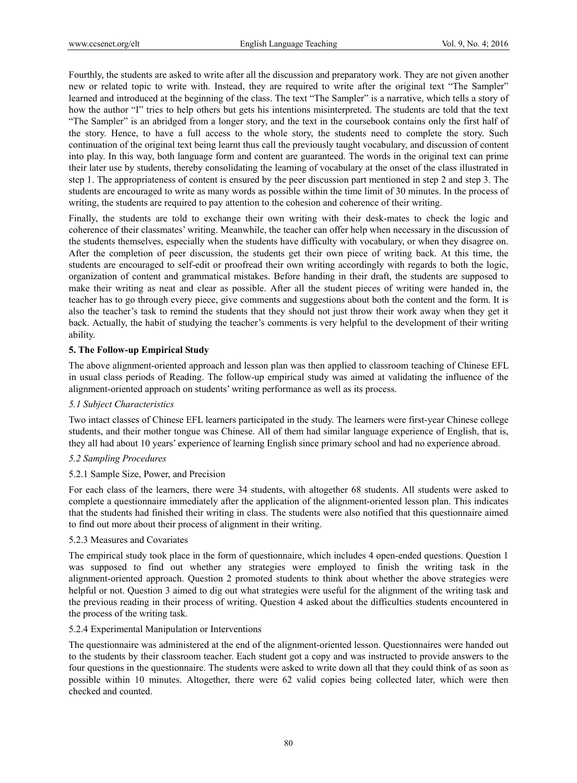Fourthly, the students are asked to write after all the discussion and preparatory work. They are not given another new or related topic to write with. Instead, they are required to write after the original text "The Sampler" learned and introduced at the beginning of the class. The text "The Sampler" is a narrative, which tells a story of how the author "I" tries to help others but gets his intentions misinterpreted. The students are told that the text "The Sampler" is an abridged from a longer story, and the text in the coursebook contains only the first half of the story. Hence, to have a full access to the whole story, the students need to complete the story. Such continuation of the original text being learnt thus call the previously taught vocabulary, and discussion of content into play. In this way, both language form and content are guaranteed. The words in the original text can prime their later use by students, thereby consolidating the learning of vocabulary at the onset of the class illustrated in step 1. The appropriateness of content is ensured by the peer discussion part mentioned in step 2 and step 3. The students are encouraged to write as many words as possible within the time limit of 30 minutes. In the process of writing, the students are required to pay attention to the cohesion and coherence of their writing.

Finally, the students are told to exchange their own writing with their desk-mates to check the logic and coherence of their classmates' writing. Meanwhile, the teacher can offer help when necessary in the discussion of the students themselves, especially when the students have difficulty with vocabulary, or when they disagree on. After the completion of peer discussion, the students get their own piece of writing back. At this time, the students are encouraged to self-edit or proofread their own writing accordingly with regards to both the logic, organization of content and grammatical mistakes. Before handing in their draft, the students are supposed to make their writing as neat and clear as possible. After all the student pieces of writing were handed in, the teacher has to go through every piece, give comments and suggestions about both the content and the form. It is also the teacher's task to remind the students that they should not just throw their work away when they get it back. Actually, the habit of studying the teacher's comments is very helpful to the development of their writing ability.

#### **5. The Follow-up Empirical Study**

The above alignment-oriented approach and lesson plan was then applied to classroom teaching of Chinese EFL in usual class periods of Reading. The follow-up empirical study was aimed at validating the influence of the alignment-oriented approach on students' writing performance as well as its process.

#### *5.1 Subject Characteristics*

Two intact classes of Chinese EFL learners participated in the study. The learners were first-year Chinese college students, and their mother tongue was Chinese. All of them had similar language experience of English, that is, they all had about 10 years' experience of learning English since primary school and had no experience abroad.

#### *5.2 Sampling Procedures*

#### 5.2.1 Sample Size, Power, and Precision

For each class of the learners, there were 34 students, with altogether 68 students. All students were asked to complete a questionnaire immediately after the application of the alignment-oriented lesson plan. This indicates that the students had finished their writing in class. The students were also notified that this questionnaire aimed to find out more about their process of alignment in their writing.

#### 5.2.3 Measures and Covariates

The empirical study took place in the form of questionnaire, which includes 4 open-ended questions. Question 1 was supposed to find out whether any strategies were employed to finish the writing task in the alignment-oriented approach. Question 2 promoted students to think about whether the above strategies were helpful or not. Question 3 aimed to dig out what strategies were useful for the alignment of the writing task and the previous reading in their process of writing. Question 4 asked about the difficulties students encountered in the process of the writing task.

#### 5.2.4 Experimental Manipulation or Interventions

The questionnaire was administered at the end of the alignment-oriented lesson. Questionnaires were handed out to the students by their classroom teacher. Each student got a copy and was instructed to provide answers to the four questions in the questionnaire. The students were asked to write down all that they could think of as soon as possible within 10 minutes. Altogether, there were 62 valid copies being collected later, which were then checked and counted.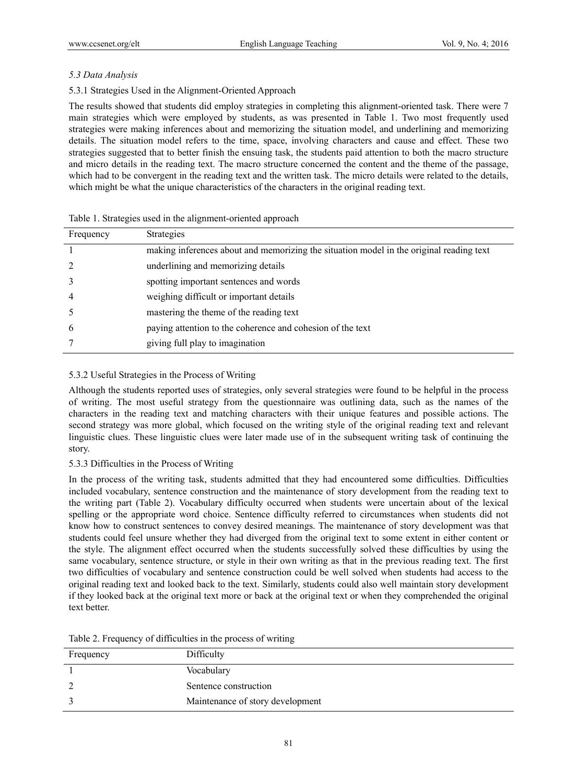# *5.3 Data Analysis*

# 5.3.1 Strategies Used in the Alignment-Oriented Approach

The results showed that students did employ strategies in completing this alignment-oriented task. There were 7 main strategies which were employed by students, as was presented in Table 1. Two most frequently used strategies were making inferences about and memorizing the situation model, and underlining and memorizing details. The situation model refers to the time, space, involving characters and cause and effect. These two strategies suggested that to better finish the ensuing task, the students paid attention to both the macro structure and micro details in the reading text. The macro structure concerned the content and the theme of the passage, which had to be convergent in the reading text and the written task. The micro details were related to the details, which might be what the unique characteristics of the characters in the original reading text.

| Frequency      | <b>Strategies</b>                                                                       |
|----------------|-----------------------------------------------------------------------------------------|
|                | making inferences about and memorizing the situation model in the original reading text |
| 2              | underlining and memorizing details                                                      |
| 3              | spotting important sentences and words                                                  |
| $\overline{4}$ | weighing difficult or important details                                                 |
| -5             | mastering the theme of the reading text                                                 |
| 6              | paying attention to the coherence and cohesion of the text                              |
|                | giving full play to imagination                                                         |

|  |  | Table 1. Strategies used in the alignment-oriented approach |  |
|--|--|-------------------------------------------------------------|--|

## 5.3.2 Useful Strategies in the Process of Writing

Although the students reported uses of strategies, only several strategies were found to be helpful in the process of writing. The most useful strategy from the questionnaire was outlining data, such as the names of the characters in the reading text and matching characters with their unique features and possible actions. The second strategy was more global, which focused on the writing style of the original reading text and relevant linguistic clues. These linguistic clues were later made use of in the subsequent writing task of continuing the story.

## 5.3.3 Difficulties in the Process of Writing

In the process of the writing task, students admitted that they had encountered some difficulties. Difficulties included vocabulary, sentence construction and the maintenance of story development from the reading text to the writing part (Table 2). Vocabulary difficulty occurred when students were uncertain about of the lexical spelling or the appropriate word choice. Sentence difficulty referred to circumstances when students did not know how to construct sentences to convey desired meanings. The maintenance of story development was that students could feel unsure whether they had diverged from the original text to some extent in either content or the style. The alignment effect occurred when the students successfully solved these difficulties by using the same vocabulary, sentence structure, or style in their own writing as that in the previous reading text. The first two difficulties of vocabulary and sentence construction could be well solved when students had access to the original reading text and looked back to the text. Similarly, students could also well maintain story development if they looked back at the original text more or back at the original text or when they comprehended the original text better.

| Frequency | Difficulty                       |
|-----------|----------------------------------|
|           | Vocabulary                       |
|           | Sentence construction            |
|           | Maintenance of story development |

Table 2. Frequency of difficulties in the process of writing